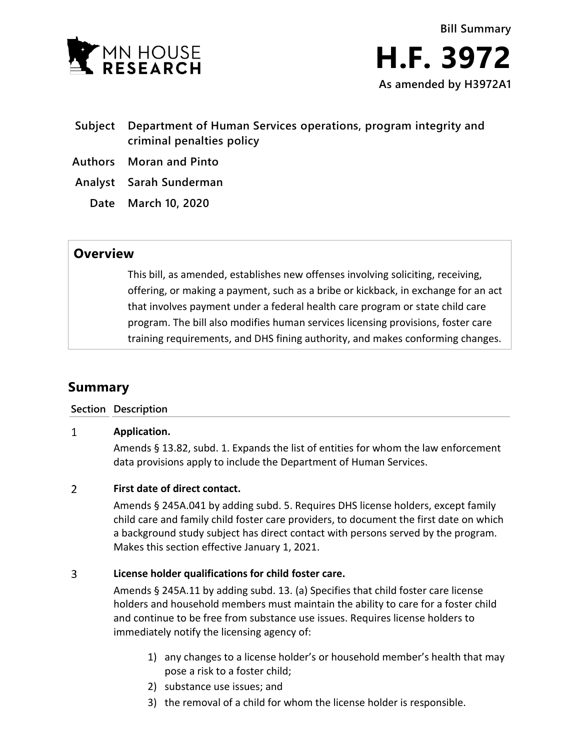

- **Subject Department of Human Services operations, program integrity and criminal penalties policy**
- **Authors Moran and Pinto**
- **Analyst Sarah Sunderman**
	- **Date March 10, 2020**

## **Overview**

This bill, as amended, establishes new offenses involving soliciting, receiving, offering, or making a payment, such as a bribe or kickback, in exchange for an act that involves payment under a federal health care program or state child care program. The bill also modifies human services licensing provisions, foster care training requirements, and DHS fining authority, and makes conforming changes.

# **Summary**

### **Section Description**

#### $\mathbf{1}$ **Application.**

Amends § 13.82, subd. 1. Expands the list of entities for whom the law enforcement data provisions apply to include the Department of Human Services.

#### $\overline{2}$ **First date of direct contact.**

Amends § 245A.041 by adding subd. 5. Requires DHS license holders, except family child care and family child foster care providers, to document the first date on which a background study subject has direct contact with persons served by the program. Makes this section effective January 1, 2021.

#### 3 **License holder qualifications for child foster care.**

Amends § 245A.11 by adding subd. 13. (a) Specifies that child foster care license holders and household members must maintain the ability to care for a foster child and continue to be free from substance use issues. Requires license holders to immediately notify the licensing agency of:

- 1) any changes to a license holder's or household member's health that may pose a risk to a foster child;
- 2) substance use issues; and
- 3) the removal of a child for whom the license holder is responsible.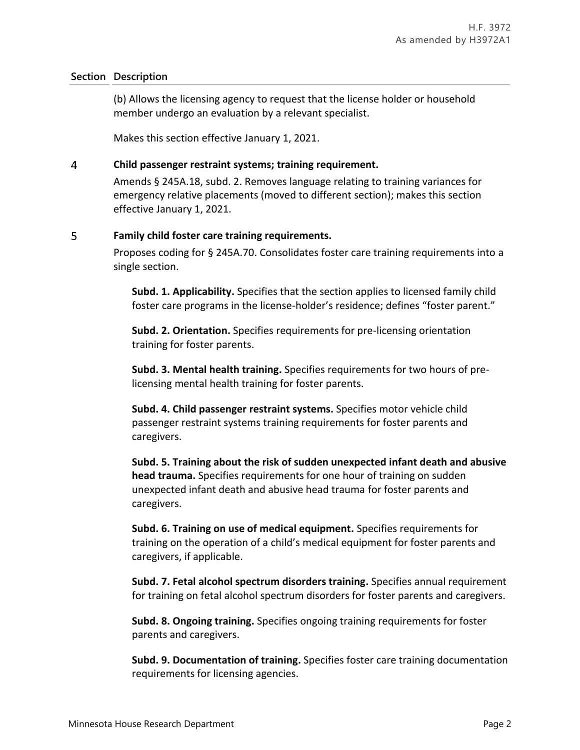(b) Allows the licensing agency to request that the license holder or household member undergo an evaluation by a relevant specialist.

Makes this section effective January 1, 2021.

#### $\overline{4}$ **Child passenger restraint systems; training requirement.**

Amends § 245A.18, subd. 2. Removes language relating to training variances for emergency relative placements (moved to different section); makes this section effective January 1, 2021.

#### 5 **Family child foster care training requirements.**

Proposes coding for § 245A.70. Consolidates foster care training requirements into a single section.

**Subd. 1. Applicability.** Specifies that the section applies to licensed family child foster care programs in the license-holder's residence; defines "foster parent."

**Subd. 2. Orientation.** Specifies requirements for pre-licensing orientation training for foster parents.

**Subd. 3. Mental health training.** Specifies requirements for two hours of prelicensing mental health training for foster parents.

**Subd. 4. Child passenger restraint systems.** Specifies motor vehicle child passenger restraint systems training requirements for foster parents and caregivers.

**Subd. 5. Training about the risk of sudden unexpected infant death and abusive head trauma.** Specifies requirements for one hour of training on sudden unexpected infant death and abusive head trauma for foster parents and caregivers.

**Subd. 6. Training on use of medical equipment.** Specifies requirements for training on the operation of a child's medical equipment for foster parents and caregivers, if applicable.

**Subd. 7. Fetal alcohol spectrum disorders training.** Specifies annual requirement for training on fetal alcohol spectrum disorders for foster parents and caregivers.

**Subd. 8. Ongoing training.** Specifies ongoing training requirements for foster parents and caregivers.

**Subd. 9. Documentation of training.** Specifies foster care training documentation requirements for licensing agencies.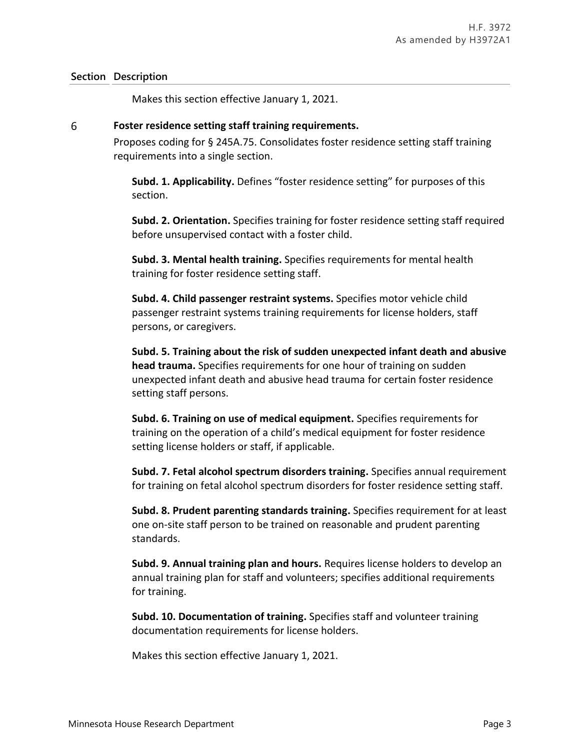Makes this section effective January 1, 2021.

#### 6 **Foster residence setting staff training requirements.**

Proposes coding for § 245A.75. Consolidates foster residence setting staff training requirements into a single section.

**Subd. 1. Applicability.** Defines "foster residence setting" for purposes of this section.

**Subd. 2. Orientation.** Specifies training for foster residence setting staff required before unsupervised contact with a foster child.

**Subd. 3. Mental health training.** Specifies requirements for mental health training for foster residence setting staff.

**Subd. 4. Child passenger restraint systems.** Specifies motor vehicle child passenger restraint systems training requirements for license holders, staff persons, or caregivers.

**Subd. 5. Training about the risk of sudden unexpected infant death and abusive head trauma.** Specifies requirements for one hour of training on sudden unexpected infant death and abusive head trauma for certain foster residence setting staff persons.

**Subd. 6. Training on use of medical equipment.** Specifies requirements for training on the operation of a child's medical equipment for foster residence setting license holders or staff, if applicable.

**Subd. 7. Fetal alcohol spectrum disorders training.** Specifies annual requirement for training on fetal alcohol spectrum disorders for foster residence setting staff.

**Subd. 8. Prudent parenting standards training.** Specifies requirement for at least one on-site staff person to be trained on reasonable and prudent parenting standards.

**Subd. 9. Annual training plan and hours.** Requires license holders to develop an annual training plan for staff and volunteers; specifies additional requirements for training.

**Subd. 10. Documentation of training.** Specifies staff and volunteer training documentation requirements for license holders.

Makes this section effective January 1, 2021.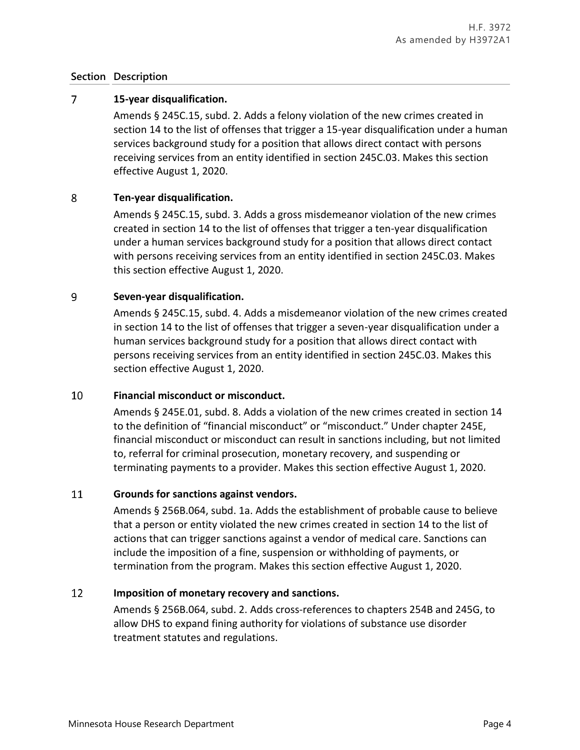#### $\overline{7}$ **15-year disqualification.**

Amends § 245C.15, subd. 2. Adds a felony violation of the new crimes created in section 14 to the list of offenses that trigger a 15-year disqualification under a human services background study for a position that allows direct contact with persons receiving services from an entity identified in section 245C.03. Makes this section effective August 1, 2020.

#### 8 **Ten-year disqualification.**

Amends § 245C.15, subd. 3. Adds a gross misdemeanor violation of the new crimes created in section 14 to the list of offenses that trigger a ten-year disqualification under a human services background study for a position that allows direct contact with persons receiving services from an entity identified in section 245C.03. Makes this section effective August 1, 2020.

#### 9 **Seven-year disqualification.**

Amends § 245C.15, subd. 4. Adds a misdemeanor violation of the new crimes created in section 14 to the list of offenses that trigger a seven-year disqualification under a human services background study for a position that allows direct contact with persons receiving services from an entity identified in section 245C.03. Makes this section effective August 1, 2020.

#### 10 **Financial misconduct or misconduct.**

Amends § 245E.01, subd. 8. Adds a violation of the new crimes created in section 14 to the definition of "financial misconduct" or "misconduct." Under chapter 245E, financial misconduct or misconduct can result in sanctions including, but not limited to, referral for criminal prosecution, monetary recovery, and suspending or terminating payments to a provider. Makes this section effective August 1, 2020.

#### 11 **Grounds for sanctions against vendors.**

Amends § 256B.064, subd. 1a. Adds the establishment of probable cause to believe that a person or entity violated the new crimes created in section 14 to the list of actions that can trigger sanctions against a vendor of medical care. Sanctions can include the imposition of a fine, suspension or withholding of payments, or termination from the program. Makes this section effective August 1, 2020.

#### 12 **Imposition of monetary recovery and sanctions.**

Amends § 256B.064, subd. 2. Adds cross-references to chapters 254B and 245G, to allow DHS to expand fining authority for violations of substance use disorder treatment statutes and regulations.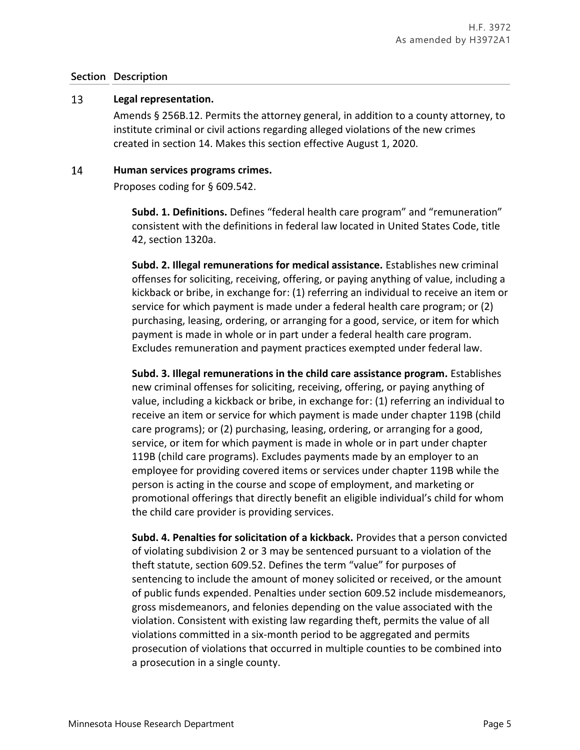#### 13 **Legal representation.**

Amends § 256B.12. Permits the attorney general, in addition to a county attorney, to institute criminal or civil actions regarding alleged violations of the new crimes created in section 14. Makes this section effective August 1, 2020.

#### 14 **Human services programs crimes.**

Proposes coding for § 609.542.

**Subd. 1. Definitions.** Defines "federal health care program" and "remuneration" consistent with the definitions in federal law located in United States Code, title 42, section 1320a.

**Subd. 2. Illegal remunerations for medical assistance.** Establishes new criminal offenses for soliciting, receiving, offering, or paying anything of value, including a kickback or bribe, in exchange for: (1) referring an individual to receive an item or service for which payment is made under a federal health care program; or (2) purchasing, leasing, ordering, or arranging for a good, service, or item for which payment is made in whole or in part under a federal health care program. Excludes remuneration and payment practices exempted under federal law.

**Subd. 3. Illegal remunerations in the child care assistance program.** Establishes new criminal offenses for soliciting, receiving, offering, or paying anything of value, including a kickback or bribe, in exchange for: (1) referring an individual to receive an item or service for which payment is made under chapter 119B (child care programs); or (2) purchasing, leasing, ordering, or arranging for a good, service, or item for which payment is made in whole or in part under chapter 119B (child care programs). Excludes payments made by an employer to an employee for providing covered items or services under chapter 119B while the person is acting in the course and scope of employment, and marketing or promotional offerings that directly benefit an eligible individual's child for whom the child care provider is providing services.

**Subd. 4. Penalties for solicitation of a kickback.** Provides that a person convicted of violating subdivision 2 or 3 may be sentenced pursuant to a violation of the theft statute, section 609.52. Defines the term "value" for purposes of sentencing to include the amount of money solicited or received, or the amount of public funds expended. Penalties under section 609.52 include misdemeanors, gross misdemeanors, and felonies depending on the value associated with the violation. Consistent with existing law regarding theft, permits the value of all violations committed in a six-month period to be aggregated and permits prosecution of violations that occurred in multiple counties to be combined into a prosecution in a single county.